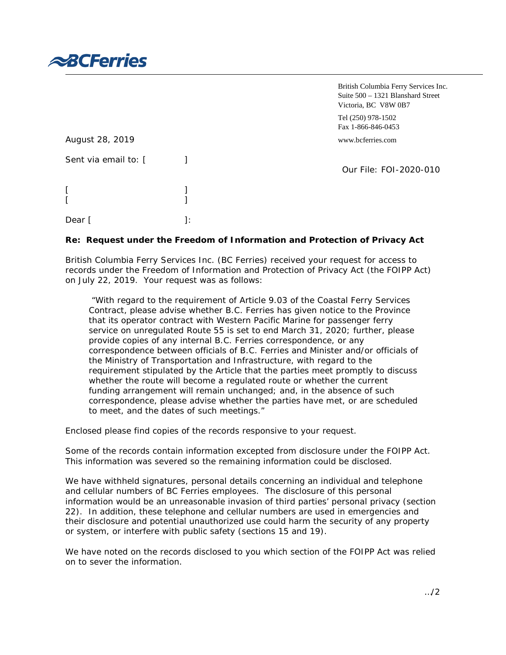

|                      |     | British Columbia Ferry Services Inc.<br>Suite $500 - 1321$ Blanshard Street<br>Victoria, BC V8W 0B7 |
|----------------------|-----|-----------------------------------------------------------------------------------------------------|
|                      |     | Tel (250) 978-1502<br>Fax 1-866-846-0453                                                            |
| August 28, 2019      |     | www.bcferries.com                                                                                   |
| Sent via email to: [ |     | Our File: FOI-2020-010                                                                              |
|                      |     |                                                                                                     |
| Dear                 | l : |                                                                                                     |

## **Re: Request under the** *Freedom of Information and Protection of Privacy Act*

British Columbia Ferry Services Inc. (BC Ferries) received your request for access to records under the *Freedom of Information and Protection of Privacy Act* (the FOIPP Act) on July 22, 2019. Your request was as follows:

*"With regard to the requirement of Article 9.03 of the Coastal Ferry Services Contract, please advise whether B.C. Ferries has given notice to the Province that its operator contract with Western Pacific Marine for passenger ferry service on unregulated Route 55 is set to end March 31, 2020; further, please provide copies of any internal B.C. Ferries correspondence, or any correspondence between officials of B.C. Ferries and Minister and/or officials of the Ministry of Transportation and Infrastructure, with regard to the requirement stipulated by the Article that the parties meet promptly to discuss whether the route will become a regulated route or whether the current funding arrangement will remain unchanged; and, in the absence of such correspondence, please advise whether the parties have met, or are scheduled to meet, and the dates of such meetings."*

Enclosed please find copies of the records responsive to your request.

Some of the records contain information excepted from disclosure under the FOIPP Act. This information was severed so the remaining information could be disclosed.

We have withheld signatures, personal details concerning an individual and telephone and cellular numbers of BC Ferries employees. The disclosure of this personal information would be an unreasonable invasion of third parties' personal privacy (section 22). In addition, these telephone and cellular numbers are used in emergencies and their disclosure and potential unauthorized use could harm the security of any property or system, or interfere with public safety (sections 15 and 19).

We have noted on the records disclosed to you which section of the FOIPP Act was relied on to sever the information.